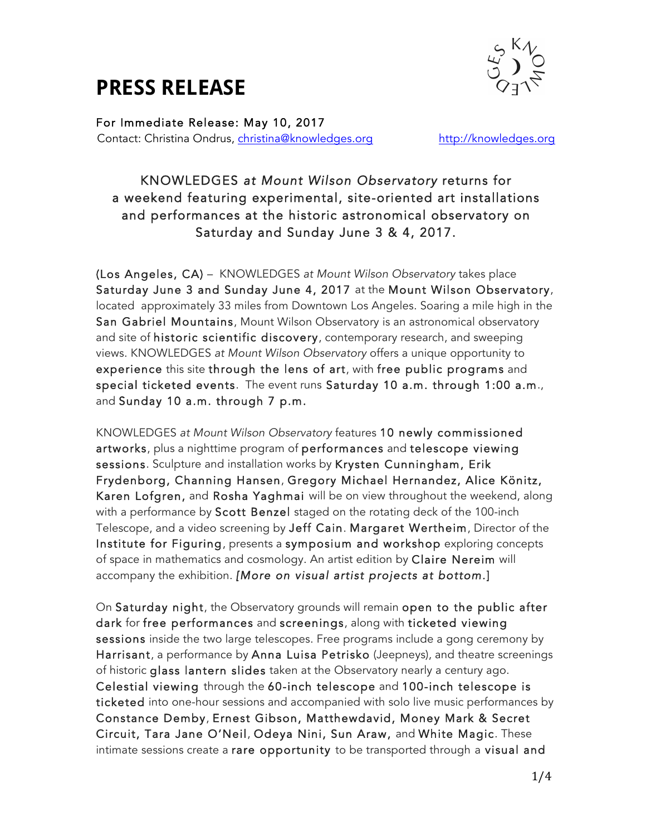## **PRESS RELEASE**



For Immediate Release: May 10, 2017 Contact: Christina Ondrus, christina@knowledges.org http://knowledges.org

### KNOWLEDGES *at Mount Wilson Observatory* returns for a weekend featuring experimental, site-oriented art installations and performances at the historic astronomical observatory on Saturday and Sunday June 3 & 4, 2017.

(Los Angeles, CA) – KNOWLEDGES *at Mount Wilson Observatory* takes place Saturday June 3 and Sunday June 4, 2017 at the Mount Wilson Observatory, located approximately 33 miles from Downtown Los Angeles. Soaring a mile high in the San Gabriel Mountains, Mount Wilson Observatory is an astronomical observatory and site of historic scientific discovery, contemporary research, and sweeping views. KNOWLEDGES *at Mount Wilson Observatory* offers a unique opportunity to experience this site through the lens of art, with free public programs and special ticketed events. The event runs Saturday 10 a.m. through 1:00 a.m., and Sunday 10 a.m. through 7 p.m.

KNOWLEDGES *at Mount Wilson Observatory* features 10 newly commissioned artworks, plus a nighttime program of performances and telescope viewing sessions. Sculpture and installation works by Krysten Cunningham, Erik Frydenborg, Channing Hansen, Gregory Michael Hernandez, Alice Könitz, Karen Lofgren, and Rosha Yaghmai will be on view throughout the weekend, along with a performance by Scott Benzel staged on the rotating deck of the 100-inch Telescope, and a video screening by Jeff Cain. Margaret Wertheim, Director of the Institute for Figuring, presents a symposium and workshop exploring concepts of space in mathematics and cosmology. An artist edition by Claire Nereim will accompany the exhibition. *[More on visual artist projects at bottom.*]

On Saturday night, the Observatory grounds will remain open to the public after dark for free performances and screenings, along with ticketed viewing sessions inside the two large telescopes. Free programs include a gong ceremony by Harrisant, a performance by Anna Luisa Petrisko (Jeepneys), and theatre screenings of historic glass lantern slides taken at the Observatory nearly a century ago. Celestial viewing through the 60-inch telescope and 100-inch telescope is ticketed into one-hour sessions and accompanied with solo live music performances by Constance Demby, Ernest Gibson, Matthewdavid, Money Mark & Secret Circuit, Tara Jane O'Neil, Odeya Nini, Sun Araw, and White Magic. These intimate sessions create a rare opportunity to be transported through a visual and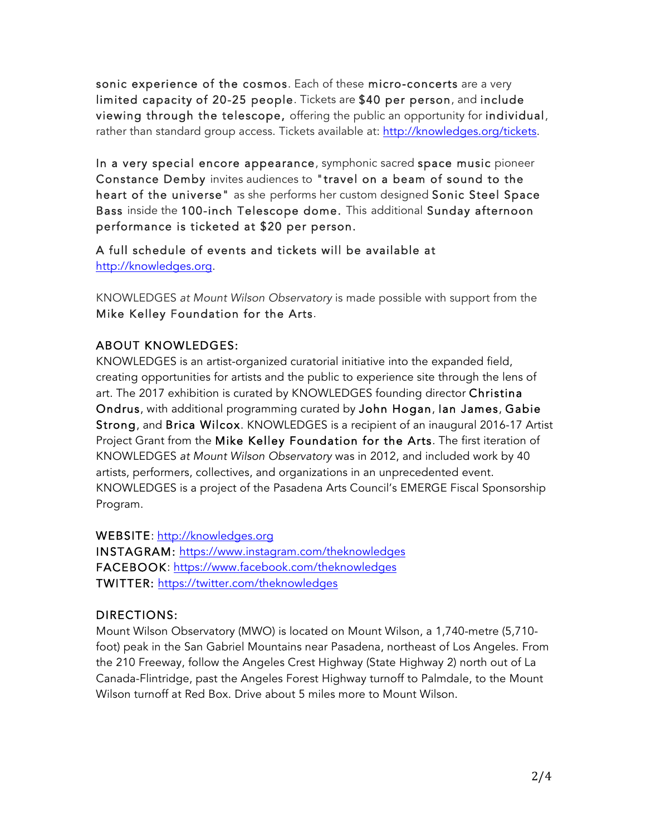sonic experience of the cosmos. Each of these micro-concerts are a very limited capacity of 20-25 people. Tickets are \$40 per person, and include viewing through the telescope, offering the public an opportunity for individual, rather than standard group access. Tickets available at: http://knowledges.org/tickets.

In a very special encore appearance, symphonic sacred space music pioneer Constance Demby invites audiences to "travel on a beam of sound to the heart of the universe" as she performs her custom designed Sonic Steel Space Bass inside the 100-inch Telescope dome. This additional Sunday afternoon performance is ticketed at \$20 per person.

A full schedule of events and tickets will be available at http://knowledges.org.

KNOWLEDGES *at Mount Wilson Observatory* is made possible with support from the Mike Kelley Foundation for the Arts.

### ABOUT KNOWLEDGES:

KNOWLEDGES is an artist-organized curatorial initiative into the expanded field, creating opportunities for artists and the public to experience site through the lens of art. The 2017 exhibition is curated by KNOWLEDGES founding director Christina Ondrus, with additional programming curated by John Hogan, Ian James, Gabie Strong, and Brica Wilcox. KNOWLEDGES is a recipient of an inaugural 2016-17 Artist Project Grant from the Mike Kelley Foundation for the Arts. The first iteration of KNOWLEDGES *at Mount Wilson Observatory* was in 2012, and included work by 40 artists, performers, collectives, and organizations in an unprecedented event. KNOWLEDGES is a project of the Pasadena Arts Council's EMERGE Fiscal Sponsorship Program.

WEBSITE: http://knowledges.org

INSTAGRAM: https://www.instagram.com/theknowledges FACEBOOK: https://www.facebook.com/theknowledges TWITTER: https://twitter.com/theknowledges

#### DIRECTIONS:

Mount Wilson Observatory (MWO) is located on Mount Wilson, a 1,740-metre (5,710 foot) peak in the San Gabriel Mountains near Pasadena, northeast of Los Angeles. From the 210 Freeway, follow the Angeles Crest Highway (State Highway 2) north out of La Canada-Flintridge, past the Angeles Forest Highway turnoff to Palmdale, to the Mount Wilson turnoff at Red Box. Drive about 5 miles more to Mount Wilson.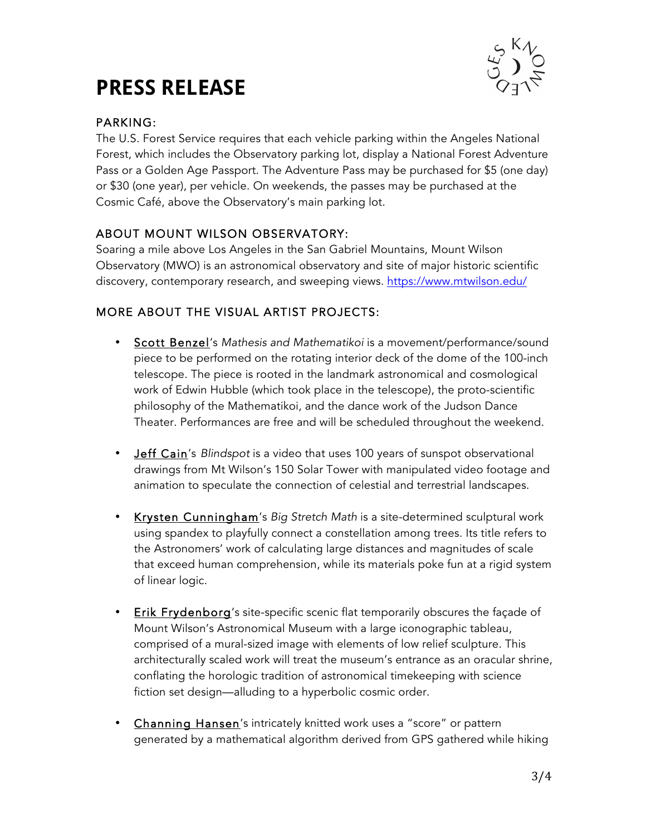# **PRESS RELEASE**



### PARKING:

The U.S. Forest Service requires that each vehicle parking within the Angeles National Forest, which includes the Observatory parking lot, display a National Forest Adventure Pass or a Golden Age Passport. The Adventure Pass may be purchased for \$5 (one day) or \$30 (one year), per vehicle. On weekends, the passes may be purchased at the Cosmic Café, above the Observatory's main parking lot.

### ABOUT MOUNT WILSON OBSERVATORY:

Soaring a mile above Los Angeles in the San Gabriel Mountains, Mount Wilson Observatory (MWO) is an astronomical observatory and site of major historic scientific discovery, contemporary research, and sweeping views. https://www.mtwilson.edu/

### MORE ABOUT THE VISUAL ARTIST PROJECTS:

- Scott Benzel's *Mathesis and Mathematikoi* is a movement/performance/sound piece to be performed on the rotating interior deck of the dome of the 100-inch telescope. The piece is rooted in the landmark astronomical and cosmological work of Edwin Hubble (which took place in the telescope), the proto-scientific philosophy of the Mathematikoi, and the dance work of the Judson Dance Theater. Performances are free and will be scheduled throughout the weekend.
- Jeff Cain's *Blindspot* is a video that uses 100 years of sunspot observational drawings from Mt Wilson's 150 Solar Tower with manipulated video footage and animation to speculate the connection of celestial and terrestrial landscapes.
- Krysten Cunningham's *Big Stretch Math* is a site-determined sculptural work using spandex to playfully connect a constellation among trees. Its title refers to the Astronomers' work of calculating large distances and magnitudes of scale that exceed human comprehension, while its materials poke fun at a rigid system of linear logic.
- Erik Frydenborg's site-specific scenic flat temporarily obscures the façade of Mount Wilson's Astronomical Museum with a large iconographic tableau, comprised of a mural-sized image with elements of low relief sculpture. This architecturally scaled work will treat the museum's entrance as an oracular shrine, conflating the horologic tradition of astronomical timekeeping with science fiction set design—alluding to a hyperbolic cosmic order.
- Channing Hansen's intricately knitted work uses a "score" or pattern generated by a mathematical algorithm derived from GPS gathered while hiking